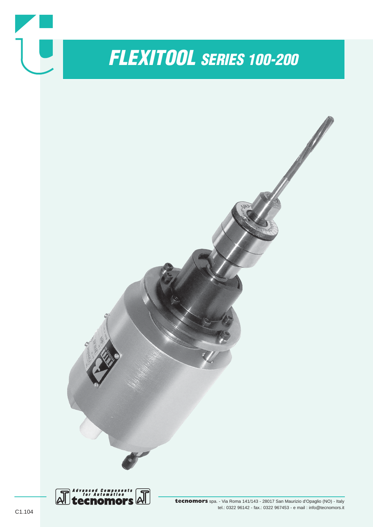

# *FLEXITOOL SERIES 100-200*



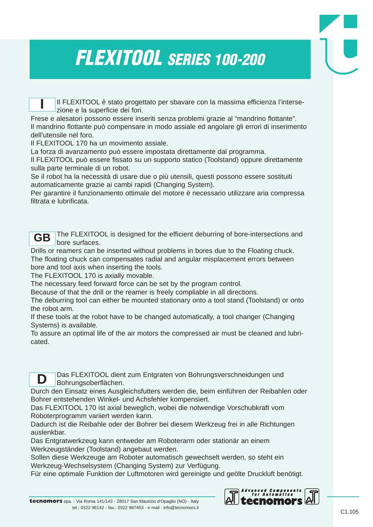## *FLEXITOOL SERIES 100-200*

Il FLEXITOOL è stato progettato per sbavare con la massima efficienza l'intersezione e la superficie dei fori.

Frese e alesatori possono essere inseriti senza problemi grazie al "mandrino flottante". Il mandrino flottante può compensare in modo assiale ed angolare gli errori di inserimento dell'utensile nel foro.

Il FLEXITOOL 170 ha un movimento assiale.

**I**

La forza di avanzamento può essere impostata direttamente dal programma.

Il FLEXITOOL può essere fissato su un supporto statico (Toolstand) oppure direttamente sulla parte terminale di un robot.

Se il robot ha la necessità di usare due o più utensili, questi possono essere sostituiti automaticamente grazie ai cambi rapidi (Changing System).

Per garantire il funzionamento ottimale del motore é necessario utilizzare aria compressa filtrata e lubrificata.



Drills or reamers can be inserted without problems in bores due to the Floating chuck. The floating chuck can compensates radial and angular misplacement errors between bore and tool axis when inserting the tools.

The FLEXITOOL 170 is axially movable.

The necessary feed forward force can be set by the program control.

Because of that the drill or the reamer is freely compliable in all directions.

The deburring tool can either be mounted stationary onto a tool stand (Toolstand) or onto the robot arm.

If these tools at the robot have to be changed automatically, a tool changer (Changing Systems) is available.

To assure an optimal life of the air motors the compressed air must be cleaned and lubricated.

Das FLEXITOOL dient zum Entgraten von Bohrungsverschneidungen und Bohrungsoberflächen. **D**

Durch den Einsatz eines Ausgleichsfutters werden die, beim einführen der Reibahlen oder Bohrer entstehenden Winkel- und Achsfehler kompensiert.

Das FLEXITOOL 170 ist axial beweglich, wobei die notwendige Vorschubkraft vom Roboterprogramm variiert werden kann.

Dadurch ist die Reibahle oder der Bohrer bei diesem Werkzeug frei in alle Richtungen auslenkbar.

Das Entgratwerkzeug kann entweder am Roboterarm oder stationär an einem Werkzeugständer (Toolstand) angebaut werden.

Sollen diese Werkzeuge am Roboter automatisch gewechselt werden, so steht ein Werkzeug-Wechselsystem (Changing System) zur Verfügung.

Für eine optimale Funktion der Luftmotoren wird gereinigte und geölte Druckluft benötigt.

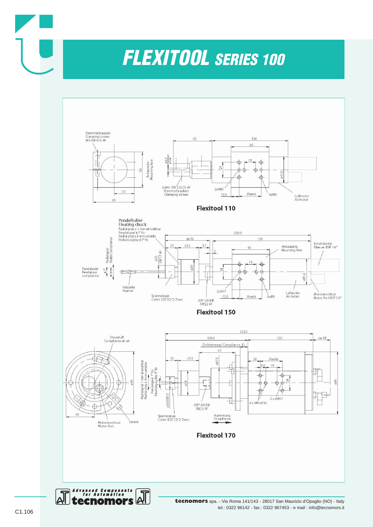### *FLEXITOOL SERIES 100*



tel.: 0322 96142 - fax.: 0322 967453 - e mail : info@tecnomors.it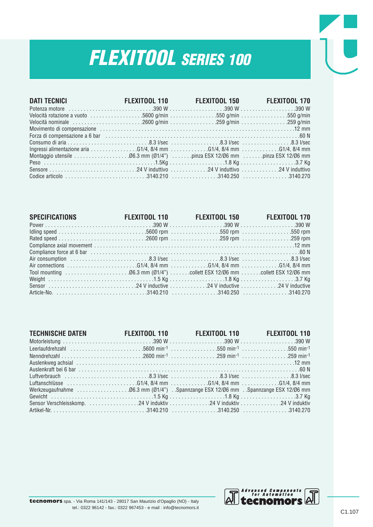# *FLEXITOOL SERIES 100*

| <b>DATI TECNICI</b>                                                                                            | FLEXITOOL 110 FLEXITOOL 150 FLEXITOOL 170 |  |
|----------------------------------------------------------------------------------------------------------------|-------------------------------------------|--|
|                                                                                                                |                                           |  |
|                                                                                                                |                                           |  |
|                                                                                                                |                                           |  |
|                                                                                                                |                                           |  |
| Forza di compensazione a 6 bar (all alternational controller controller competition and Network and Network Co |                                           |  |
|                                                                                                                |                                           |  |
|                                                                                                                |                                           |  |
|                                                                                                                |                                           |  |
|                                                                                                                |                                           |  |
|                                                                                                                |                                           |  |
|                                                                                                                |                                           |  |

| <b>SPECIFICATIONS</b><br><b>Contract Contract</b> |  | FLEXITOOL 110 FLEXITOOL 150 FLEXITOOL 170 |
|---------------------------------------------------|--|-------------------------------------------|
|                                                   |  |                                           |
|                                                   |  |                                           |
|                                                   |  |                                           |
|                                                   |  |                                           |
|                                                   |  |                                           |
|                                                   |  |                                           |
|                                                   |  |                                           |
|                                                   |  |                                           |
|                                                   |  |                                           |
|                                                   |  |                                           |
|                                                   |  |                                           |

| TECHNISCHE DATEN FLEXITOOL 110 FLEXITOOL 110 FLEXITOOL 110 |  |  |
|------------------------------------------------------------|--|--|
|                                                            |  |  |
|                                                            |  |  |
|                                                            |  |  |
|                                                            |  |  |
|                                                            |  |  |
|                                                            |  |  |
|                                                            |  |  |
|                                                            |  |  |
|                                                            |  |  |
|                                                            |  |  |
|                                                            |  |  |

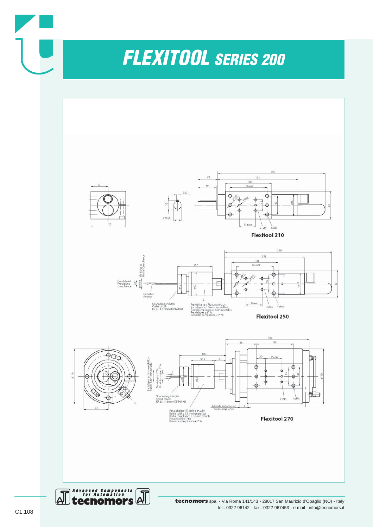



**tecnomors** spa. - Via Roma 141/143 - 28017 San Maurizio d'Opaglio (NO) - Italy tel.: 0322 96142 - fax.: 0322 967453 - e mail : info@tecnomors.it